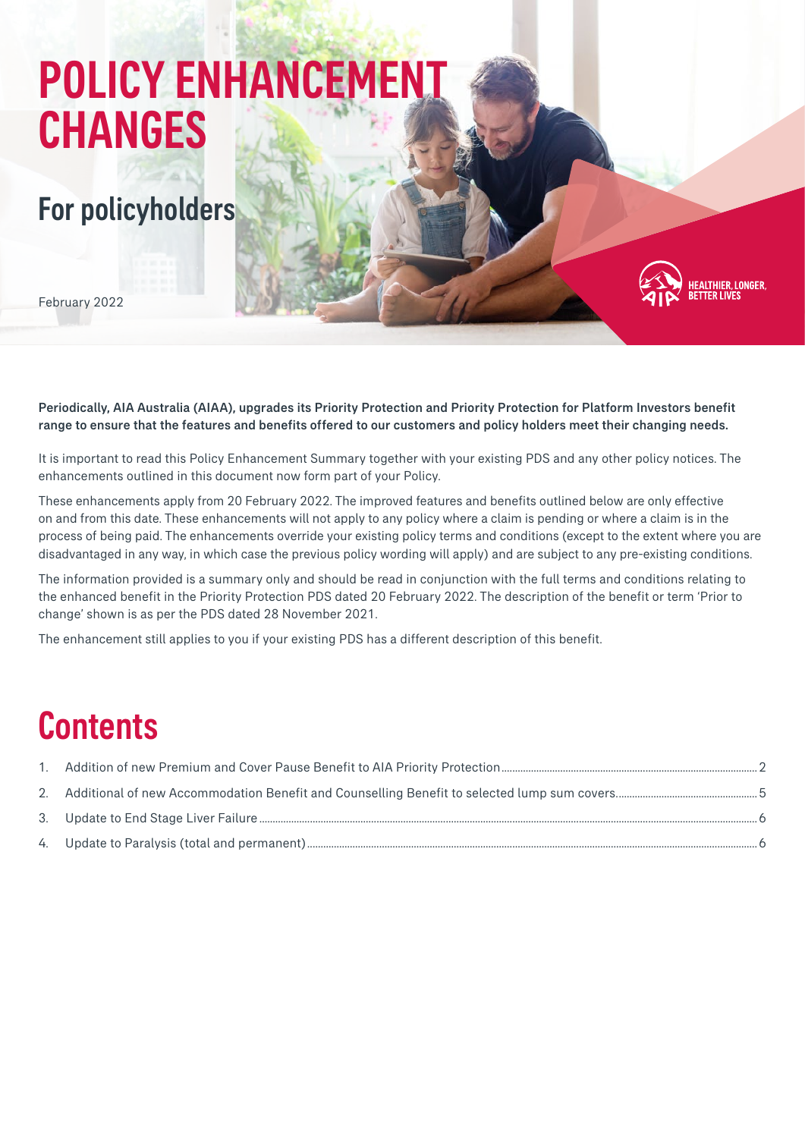# POLICY ENHANCEMENT CHANGES

### For policyholders

February 2022

Periodically, AIA Australia (AIAA), upgrades its Priority Protection and Priority Protection for Platform Investors benefit range to ensure that the features and benefits offered to our customers and policy holders meet their changing needs.

.<br>Althier, Longer,<br>Tter Lives

It is important to read this Policy Enhancement Summary together with your existing PDS and any other policy notices. The enhancements outlined in this document now form part of your Policy.

These enhancements apply from 20 February 2022. The improved features and benefits outlined below are only effective on and from this date. These enhancements will not apply to any policy where a claim is pending or where a claim is in the process of being paid. The enhancements override your existing policy terms and conditions (except to the extent where you are disadvantaged in any way, in which case the previous policy wording will apply) and are subject to any pre-existing conditions.

The information provided is a summary only and should be read in conjunction with the full terms and conditions relating to the enhanced benefit in the Priority Protection PDS dated 20 February 2022. The description of the benefit or term 'Prior to change' shown is as per the PDS dated 28 November 2021.

The enhancement still applies to you if your existing PDS has a different description of this benefit.

## **Contents**

| $1_{\ldots}$ |  |
|--------------|--|
|              |  |
|              |  |
|              |  |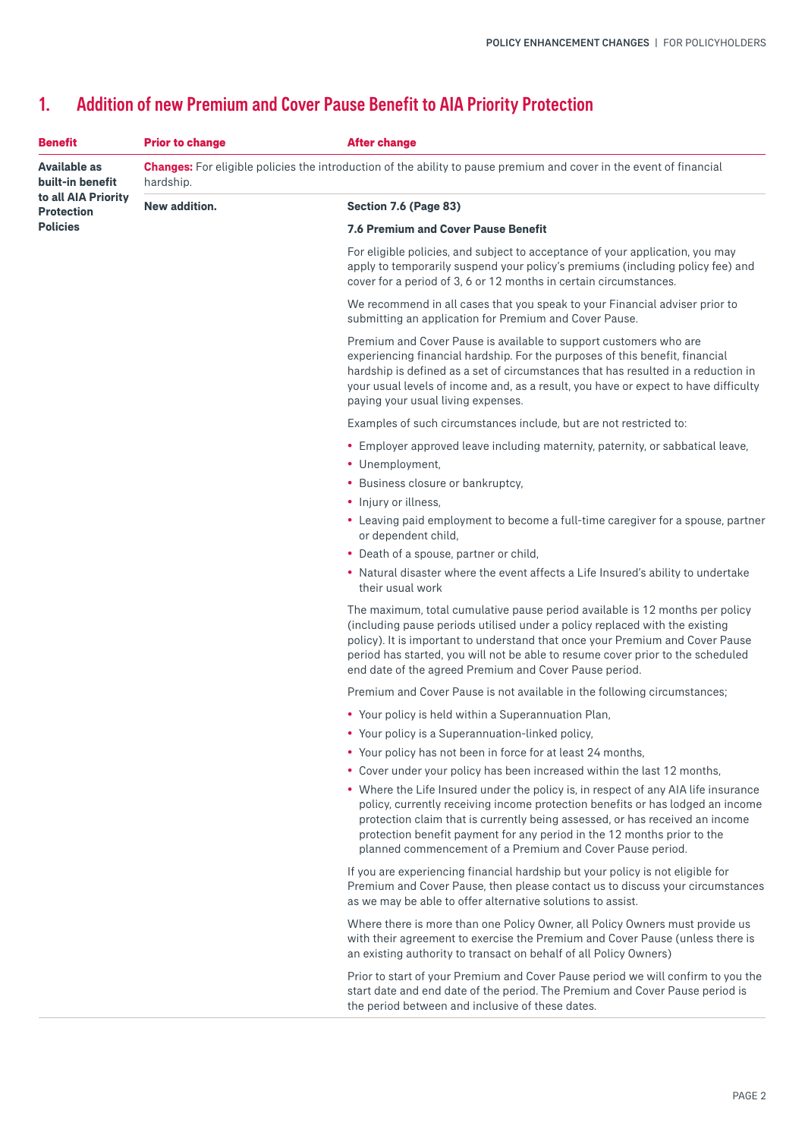| <b>Benefit</b>                           | <b>Prior to change</b>                                                                                                                  | <b>After change</b>                                                                                                                                                                                                                                                                                                                                                                          |  |
|------------------------------------------|-----------------------------------------------------------------------------------------------------------------------------------------|----------------------------------------------------------------------------------------------------------------------------------------------------------------------------------------------------------------------------------------------------------------------------------------------------------------------------------------------------------------------------------------------|--|
| Available as<br>built-in benefit         | <b>Changes:</b> For eligible policies the introduction of the ability to pause premium and cover in the event of financial<br>hardship. |                                                                                                                                                                                                                                                                                                                                                                                              |  |
| to all AIA Priority<br><b>Protection</b> | New addition.                                                                                                                           | Section 7.6 (Page 83)                                                                                                                                                                                                                                                                                                                                                                        |  |
| <b>Policies</b>                          |                                                                                                                                         | <b>7.6 Premium and Cover Pause Benefit</b>                                                                                                                                                                                                                                                                                                                                                   |  |
|                                          |                                                                                                                                         | For eligible policies, and subject to acceptance of your application, you may<br>apply to temporarily suspend your policy's premiums (including policy fee) and<br>cover for a period of 3, 6 or 12 months in certain circumstances.                                                                                                                                                         |  |
|                                          |                                                                                                                                         | We recommend in all cases that you speak to your Financial adviser prior to<br>submitting an application for Premium and Cover Pause.                                                                                                                                                                                                                                                        |  |
|                                          |                                                                                                                                         | Premium and Cover Pause is available to support customers who are<br>experiencing financial hardship. For the purposes of this benefit, financial<br>hardship is defined as a set of circumstances that has resulted in a reduction in<br>your usual levels of income and, as a result, you have or expect to have difficulty<br>paying your usual living expenses.                          |  |
|                                          |                                                                                                                                         | Examples of such circumstances include, but are not restricted to:                                                                                                                                                                                                                                                                                                                           |  |
|                                          |                                                                                                                                         | • Employer approved leave including maternity, paternity, or sabbatical leave,                                                                                                                                                                                                                                                                                                               |  |
|                                          |                                                                                                                                         | • Unemployment,                                                                                                                                                                                                                                                                                                                                                                              |  |
|                                          |                                                                                                                                         | • Business closure or bankruptcy,                                                                                                                                                                                                                                                                                                                                                            |  |
|                                          |                                                                                                                                         | • Injury or illness,                                                                                                                                                                                                                                                                                                                                                                         |  |
|                                          |                                                                                                                                         | • Leaving paid employment to become a full-time caregiver for a spouse, partner<br>or dependent child,                                                                                                                                                                                                                                                                                       |  |
|                                          |                                                                                                                                         | • Death of a spouse, partner or child,                                                                                                                                                                                                                                                                                                                                                       |  |
|                                          |                                                                                                                                         | • Natural disaster where the event affects a Life Insured's ability to undertake<br>their usual work                                                                                                                                                                                                                                                                                         |  |
|                                          |                                                                                                                                         | The maximum, total cumulative pause period available is 12 months per policy<br>(including pause periods utilised under a policy replaced with the existing<br>policy). It is important to understand that once your Premium and Cover Pause<br>period has started, you will not be able to resume cover prior to the scheduled<br>end date of the agreed Premium and Cover Pause period.    |  |
|                                          |                                                                                                                                         | Premium and Cover Pause is not available in the following circumstances;                                                                                                                                                                                                                                                                                                                     |  |
|                                          |                                                                                                                                         | • Your policy is held within a Superannuation Plan,                                                                                                                                                                                                                                                                                                                                          |  |
|                                          |                                                                                                                                         | • Your policy is a Superannuation-linked policy,                                                                                                                                                                                                                                                                                                                                             |  |
|                                          |                                                                                                                                         | • Your policy has not been in force for at least 24 months,                                                                                                                                                                                                                                                                                                                                  |  |
|                                          |                                                                                                                                         | • Cover under your policy has been increased within the last 12 months,                                                                                                                                                                                                                                                                                                                      |  |
|                                          |                                                                                                                                         | • Where the Life Insured under the policy is, in respect of any AIA life insurance<br>policy, currently receiving income protection benefits or has lodged an income<br>protection claim that is currently being assessed, or has received an income<br>protection benefit payment for any period in the 12 months prior to the<br>planned commencement of a Premium and Cover Pause period. |  |
|                                          |                                                                                                                                         | If you are experiencing financial hardship but your policy is not eligible for<br>Premium and Cover Pause, then please contact us to discuss your circumstances<br>as we may be able to offer alternative solutions to assist.                                                                                                                                                               |  |
|                                          |                                                                                                                                         | Where there is more than one Policy Owner, all Policy Owners must provide us<br>with their agreement to exercise the Premium and Cover Pause (unless there is<br>an existing authority to transact on behalf of all Policy Owners)                                                                                                                                                           |  |
|                                          |                                                                                                                                         | Prior to start of your Premium and Cover Pause period we will confirm to you the<br>start date and end date of the period. The Premium and Cover Pause period is<br>the period between and inclusive of these dates.                                                                                                                                                                         |  |

#### <span id="page-1-0"></span>1. Addition of new Premium and Cover Pause Benefit to AIA Priority Protection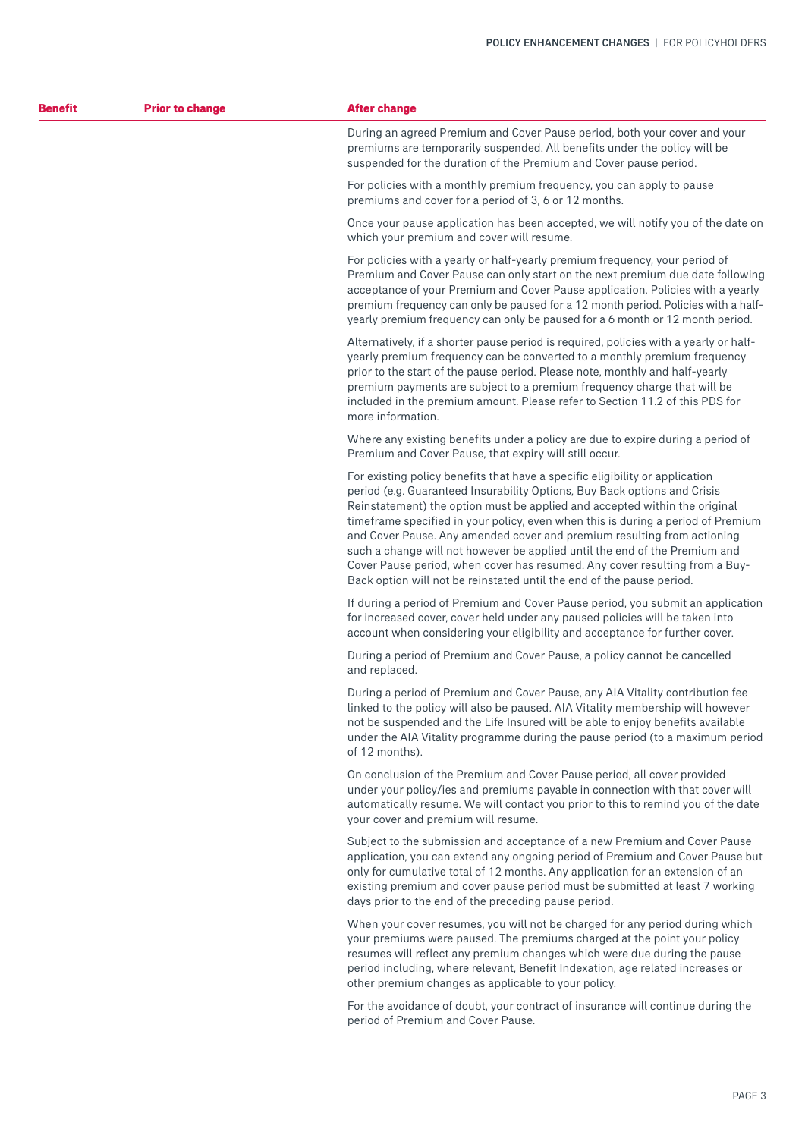| <b>Benefit</b> | <b>Prior to change</b> | <b>After change</b>                                                                                                                                                                                                                                                                                                                                                                                                                                                                                                                                                                                                                          |
|----------------|------------------------|----------------------------------------------------------------------------------------------------------------------------------------------------------------------------------------------------------------------------------------------------------------------------------------------------------------------------------------------------------------------------------------------------------------------------------------------------------------------------------------------------------------------------------------------------------------------------------------------------------------------------------------------|
|                |                        | During an agreed Premium and Cover Pause period, both your cover and your<br>premiums are temporarily suspended. All benefits under the policy will be<br>suspended for the duration of the Premium and Cover pause period.                                                                                                                                                                                                                                                                                                                                                                                                                  |
|                |                        | For policies with a monthly premium frequency, you can apply to pause<br>premiums and cover for a period of 3, 6 or 12 months.                                                                                                                                                                                                                                                                                                                                                                                                                                                                                                               |
|                |                        | Once your pause application has been accepted, we will notify you of the date on<br>which your premium and cover will resume.                                                                                                                                                                                                                                                                                                                                                                                                                                                                                                                |
|                |                        | For policies with a yearly or half-yearly premium frequency, your period of<br>Premium and Cover Pause can only start on the next premium due date following<br>acceptance of your Premium and Cover Pause application. Policies with a yearly<br>premium frequency can only be paused for a 12 month period. Policies with a half-<br>yearly premium frequency can only be paused for a 6 month or 12 month period.                                                                                                                                                                                                                         |
|                |                        | Alternatively, if a shorter pause period is required, policies with a yearly or half-<br>yearly premium frequency can be converted to a monthly premium frequency<br>prior to the start of the pause period. Please note, monthly and half-yearly<br>premium payments are subject to a premium frequency charge that will be<br>included in the premium amount. Please refer to Section 11.2 of this PDS for<br>more information.                                                                                                                                                                                                            |
|                |                        | Where any existing benefits under a policy are due to expire during a period of<br>Premium and Cover Pause, that expiry will still occur.                                                                                                                                                                                                                                                                                                                                                                                                                                                                                                    |
|                |                        | For existing policy benefits that have a specific eligibility or application<br>period (e.g. Guaranteed Insurability Options, Buy Back options and Crisis<br>Reinstatement) the option must be applied and accepted within the original<br>timeframe specified in your policy, even when this is during a period of Premium<br>and Cover Pause. Any amended cover and premium resulting from actioning<br>such a change will not however be applied until the end of the Premium and<br>Cover Pause period, when cover has resumed. Any cover resulting from a Buy-<br>Back option will not be reinstated until the end of the pause period. |
|                |                        | If during a period of Premium and Cover Pause period, you submit an application<br>for increased cover, cover held under any paused policies will be taken into<br>account when considering your eligibility and acceptance for further cover.                                                                                                                                                                                                                                                                                                                                                                                               |
|                |                        | During a period of Premium and Cover Pause, a policy cannot be cancelled<br>and replaced.                                                                                                                                                                                                                                                                                                                                                                                                                                                                                                                                                    |
|                |                        | During a period of Premium and Cover Pause, any AIA Vitality contribution fee<br>linked to the policy will also be paused. AIA Vitality membership will however<br>not be suspended and the Life Insured will be able to enjoy benefits available<br>under the AIA Vitality programme during the pause period (to a maximum period<br>of 12 months).                                                                                                                                                                                                                                                                                         |
|                |                        | On conclusion of the Premium and Cover Pause period, all cover provided<br>under your policy/ies and premiums payable in connection with that cover will<br>automatically resume. We will contact you prior to this to remind you of the date<br>your cover and premium will resume.                                                                                                                                                                                                                                                                                                                                                         |
|                |                        | Subject to the submission and acceptance of a new Premium and Cover Pause<br>application, you can extend any ongoing period of Premium and Cover Pause but<br>only for cumulative total of 12 months. Any application for an extension of an<br>existing premium and cover pause period must be submitted at least 7 working<br>days prior to the end of the preceding pause period.                                                                                                                                                                                                                                                         |
|                |                        | When your cover resumes, you will not be charged for any period during which<br>your premiums were paused. The premiums charged at the point your policy<br>resumes will reflect any premium changes which were due during the pause<br>period including, where relevant, Benefit Indexation, age related increases or<br>other premium changes as applicable to your policy.                                                                                                                                                                                                                                                                |
|                |                        | For the avoidance of doubt, your contract of insurance will continue during the                                                                                                                                                                                                                                                                                                                                                                                                                                                                                                                                                              |

period of Premium and Cover Pause.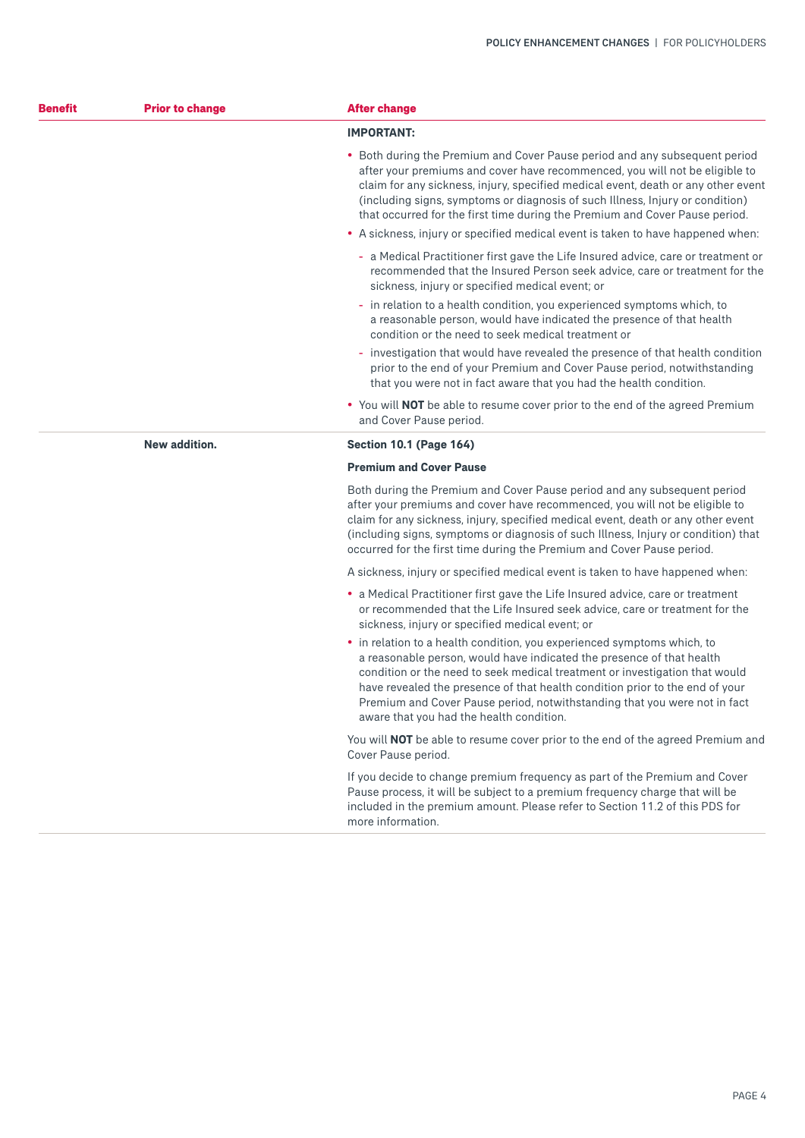| <b>Benefit</b> | <b>Prior to change</b> | <b>After change</b>                                                                                                                                                                                                                                                                                                                                                                                                                      |  |
|----------------|------------------------|------------------------------------------------------------------------------------------------------------------------------------------------------------------------------------------------------------------------------------------------------------------------------------------------------------------------------------------------------------------------------------------------------------------------------------------|--|
|                |                        | <b>IMPORTANT:</b>                                                                                                                                                                                                                                                                                                                                                                                                                        |  |
|                |                        | • Both during the Premium and Cover Pause period and any subsequent period<br>after your premiums and cover have recommenced, you will not be eligible to<br>claim for any sickness, injury, specified medical event, death or any other event<br>(including signs, symptoms or diagnosis of such Illness, Injury or condition)<br>that occurred for the first time during the Premium and Cover Pause period.                           |  |
|                |                        | • A sickness, injury or specified medical event is taken to have happened when:                                                                                                                                                                                                                                                                                                                                                          |  |
|                |                        | - a Medical Practitioner first gave the Life Insured advice, care or treatment or<br>recommended that the Insured Person seek advice, care or treatment for the<br>sickness, injury or specified medical event; or                                                                                                                                                                                                                       |  |
|                |                        | - in relation to a health condition, you experienced symptoms which, to<br>a reasonable person, would have indicated the presence of that health<br>condition or the need to seek medical treatment or                                                                                                                                                                                                                                   |  |
|                |                        | - investigation that would have revealed the presence of that health condition<br>prior to the end of your Premium and Cover Pause period, notwithstanding<br>that you were not in fact aware that you had the health condition.                                                                                                                                                                                                         |  |
|                |                        | • You will <b>NOT</b> be able to resume cover prior to the end of the agreed Premium<br>and Cover Pause period.                                                                                                                                                                                                                                                                                                                          |  |
|                | New addition.          | <b>Section 10.1 (Page 164)</b>                                                                                                                                                                                                                                                                                                                                                                                                           |  |
|                |                        | <b>Premium and Cover Pause</b>                                                                                                                                                                                                                                                                                                                                                                                                           |  |
|                |                        | Both during the Premium and Cover Pause period and any subsequent period<br>after your premiums and cover have recommenced, you will not be eligible to<br>claim for any sickness, injury, specified medical event, death or any other event<br>(including signs, symptoms or diagnosis of such Illness, Injury or condition) that<br>occurred for the first time during the Premium and Cover Pause period.                             |  |
|                |                        | A sickness, injury or specified medical event is taken to have happened when:                                                                                                                                                                                                                                                                                                                                                            |  |
|                |                        | • a Medical Practitioner first gave the Life Insured advice, care or treatment<br>or recommended that the Life Insured seek advice, care or treatment for the<br>sickness, injury or specified medical event; or                                                                                                                                                                                                                         |  |
|                |                        | • in relation to a health condition, you experienced symptoms which, to<br>a reasonable person, would have indicated the presence of that health<br>condition or the need to seek medical treatment or investigation that would<br>have revealed the presence of that health condition prior to the end of your<br>Premium and Cover Pause period, notwithstanding that you were not in fact<br>aware that you had the health condition. |  |
|                |                        | You will <b>NOT</b> be able to resume cover prior to the end of the agreed Premium and<br>Cover Pause period.                                                                                                                                                                                                                                                                                                                            |  |
|                |                        | If you decide to change premium frequency as part of the Premium and Cover<br>Pause process, it will be subject to a premium frequency charge that will be<br>included in the premium amount. Please refer to Section 11.2 of this PDS for<br>more information.                                                                                                                                                                          |  |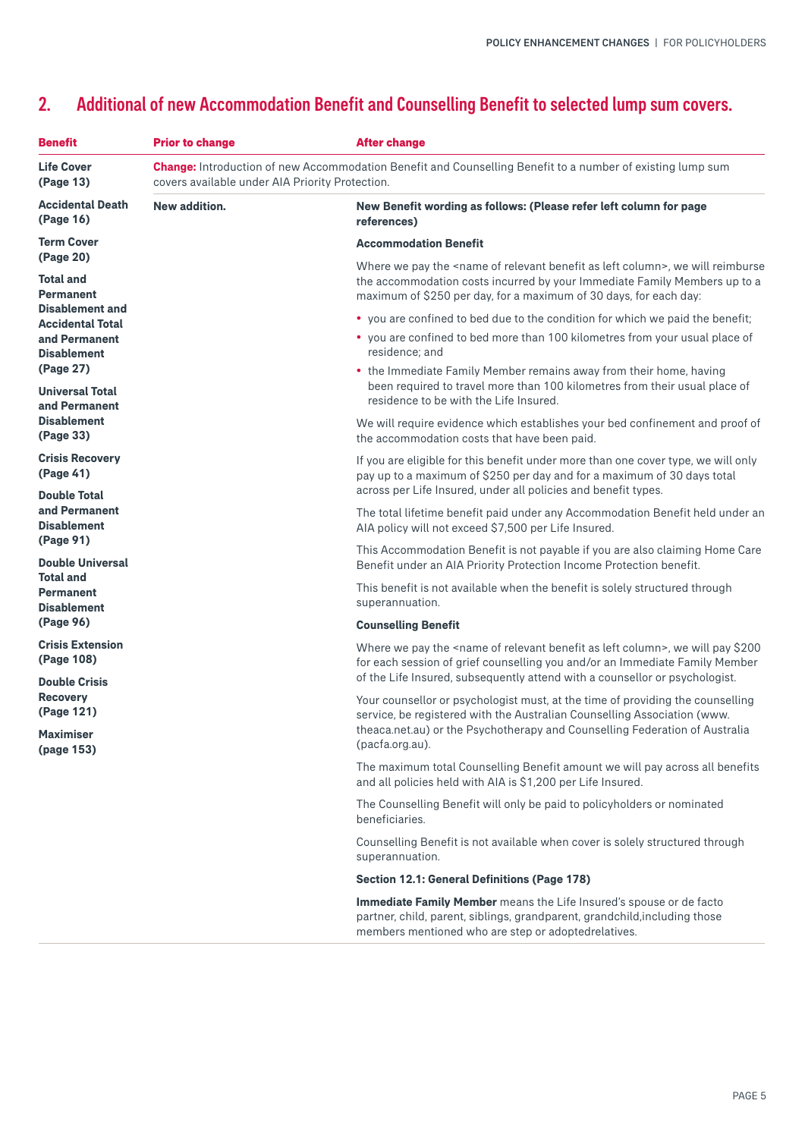#### <span id="page-4-0"></span>2. Additional of new Accommodation Benefit and Counselling Benefit to selected lump sum covers.

| <b>Benefit</b>                                                                    | <b>Prior to change</b> | <b>After change</b>                                                                                                                                                                                                                                                    |
|-----------------------------------------------------------------------------------|------------------------|------------------------------------------------------------------------------------------------------------------------------------------------------------------------------------------------------------------------------------------------------------------------|
| <b>Life Cover</b><br>covers available under AIA Priority Protection.<br>(Page 13) |                        | Change: Introduction of new Accommodation Benefit and Counselling Benefit to a number of existing lump sum                                                                                                                                                             |
| <b>Accidental Death</b><br>(Page 16)                                              | New addition.          | New Benefit wording as follows: (Please refer left column for page<br>references)                                                                                                                                                                                      |
| <b>Term Cover</b><br>(Page 20)                                                    |                        | <b>Accommodation Benefit</b>                                                                                                                                                                                                                                           |
| <b>Total and</b><br><b>Permanent</b>                                              |                        | Where we pay the <name as="" benefit="" column="" left="" of="" relevant="">, we will reimburse<br/>the accommodation costs incurred by your Immediate Family Members up to a<br/>maximum of \$250 per day, for a maximum of 30 days, for each day:</name>             |
| <b>Disablement and</b><br><b>Accidental Total</b>                                 |                        | • you are confined to bed due to the condition for which we paid the benefit;                                                                                                                                                                                          |
| and Permanent<br><b>Disablement</b>                                               |                        | • you are confined to bed more than 100 kilometres from your usual place of<br>residence; and                                                                                                                                                                          |
| (Page 27)<br><b>Universal Total</b><br>and Permanent                              |                        | • the Immediate Family Member remains away from their home, having<br>been required to travel more than 100 kilometres from their usual place of<br>residence to be with the Life Insured.                                                                             |
| <b>Disablement</b><br>(Page 33)                                                   |                        | We will require evidence which establishes your bed confinement and proof of<br>the accommodation costs that have been paid.                                                                                                                                           |
| <b>Crisis Recovery</b><br>(Page 41)<br><b>Double Total</b>                        |                        | If you are eligible for this benefit under more than one cover type, we will only<br>pay up to a maximum of \$250 per day and for a maximum of 30 days total<br>across per Life Insured, under all policies and benefit types.                                         |
| and Permanent<br><b>Disablement</b>                                               |                        | The total lifetime benefit paid under any Accommodation Benefit held under an<br>AIA policy will not exceed \$7,500 per Life Insured.                                                                                                                                  |
| (Page 91)<br><b>Double Universal</b>                                              |                        | This Accommodation Benefit is not payable if you are also claiming Home Care<br>Benefit under an AIA Priority Protection Income Protection benefit.                                                                                                                    |
| <b>Total and</b><br><b>Permanent</b><br><b>Disablement</b>                        |                        | This benefit is not available when the benefit is solely structured through<br>superannuation.                                                                                                                                                                         |
| (Page 96)                                                                         |                        | <b>Counselling Benefit</b>                                                                                                                                                                                                                                             |
| <b>Crisis Extension</b><br>(Page 108)                                             |                        | Where we pay the <name as="" benefit="" column="" left="" of="" relevant="">, we will pay \$200<br/>for each session of grief counselling you and/or an Immediate Family Member<br/>of the Life Insured, subsequently attend with a counsellor or psychologist.</name> |
| <b>Double Crisis</b><br><b>Recovery</b><br>(Page 121)                             |                        | Your counsellor or psychologist must, at the time of providing the counselling<br>service, be registered with the Australian Counselling Association (www.                                                                                                             |
| <b>Maximiser</b><br>(page 153)                                                    |                        | theaca.net.au) or the Psychotherapy and Counselling Federation of Australia<br>(pacfa.org.au).                                                                                                                                                                         |
|                                                                                   |                        | The maximum total Counselling Benefit amount we will pay across all benefits<br>and all policies held with AIA is \$1,200 per Life Insured.                                                                                                                            |
|                                                                                   |                        | The Counselling Benefit will only be paid to policyholders or nominated<br>beneficiaries.                                                                                                                                                                              |
|                                                                                   |                        | Counselling Benefit is not available when cover is solely structured through<br>superannuation.                                                                                                                                                                        |
|                                                                                   |                        | <b>Section 12.1: General Definitions (Page 178)</b>                                                                                                                                                                                                                    |
|                                                                                   |                        | Immediate Family Member means the Life Insured's spouse or de facto<br>partner, child, parent, siblings, grandparent, grandchild, including those<br>members mentioned who are step or adoptedrelatives.                                                               |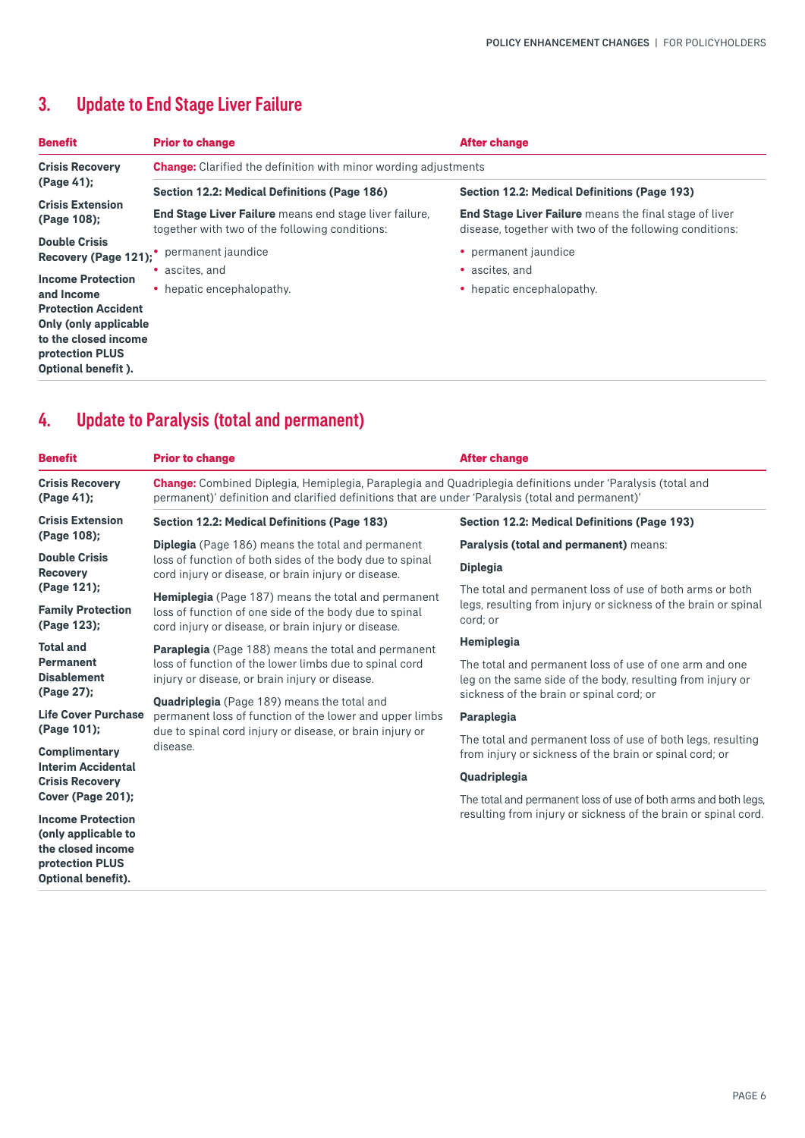### <span id="page-5-0"></span>3. Update to End Stage Liver Failure

| <b>Benefit</b>                               | <b>Prior to change</b>                                                                                          | <b>After change</b>                                                                                                      |  |  |
|----------------------------------------------|-----------------------------------------------------------------------------------------------------------------|--------------------------------------------------------------------------------------------------------------------------|--|--|
| <b>Crisis Recovery</b>                       | <b>Change:</b> Clarified the definition with minor wording adjustments                                          |                                                                                                                          |  |  |
| (Page 41);                                   | Section 12.2: Medical Definitions (Page 186)<br><b>Section 12.2: Medical Definitions (Page 193)</b>             |                                                                                                                          |  |  |
| <b>Crisis Extension</b><br>(Page 108);       | <b>End Stage Liver Failure</b> means end stage liver failure,<br>together with two of the following conditions: | <b>End Stage Liver Failure</b> means the final stage of liver<br>disease, together with two of the following conditions: |  |  |
| <b>Double Crisis</b><br>Recovery (Page 121); | permanent jaundice                                                                                              | • permanent jaundice                                                                                                     |  |  |
| <b>Income Protection</b>                     | • ascites and                                                                                                   | • ascites and                                                                                                            |  |  |
| and Income<br><b>Protection Accident</b>     | • hepatic encephalopathy.                                                                                       | • hepatic encephalopathy.                                                                                                |  |  |
| <b>Only (only applicable)</b>                |                                                                                                                 |                                                                                                                          |  |  |
| to the closed income<br>protection PLUS      |                                                                                                                 |                                                                                                                          |  |  |
| Optional benefit).                           |                                                                                                                 |                                                                                                                          |  |  |

#### 4. Update to Paralysis (total and permanent)

| <b>Benefit</b>                                                                                                       | <b>Prior to change</b>                                                                                                                                                                                                                                                                                                                                          | <b>After change</b>                                                                                                                    |  |
|----------------------------------------------------------------------------------------------------------------------|-----------------------------------------------------------------------------------------------------------------------------------------------------------------------------------------------------------------------------------------------------------------------------------------------------------------------------------------------------------------|----------------------------------------------------------------------------------------------------------------------------------------|--|
| <b>Crisis Recovery</b><br>(Page 41);                                                                                 | <b>Change:</b> Combined Diplegia, Hemiplegia, Paraplegia and Quadriplegia definitions under 'Paralysis (total and<br>permanent)' definition and clarified definitions that are under 'Paralysis (total and permanent)'                                                                                                                                          |                                                                                                                                        |  |
| <b>Crisis Extension</b>                                                                                              | <b>Section 12.2: Medical Definitions (Page 183)</b>                                                                                                                                                                                                                                                                                                             | <b>Section 12.2: Medical Definitions (Page 193)</b>                                                                                    |  |
| (Page 108);                                                                                                          | <b>Diplegia</b> (Page 186) means the total and permanent                                                                                                                                                                                                                                                                                                        | Paralysis (total and permanent) means:                                                                                                 |  |
| <b>Double Crisis</b><br><b>Recovery</b><br>(Page 121);<br><b>Family Protection</b><br>(Page 123);                    | loss of function of both sides of the body due to spinal<br>cord injury or disease, or brain injury or disease.                                                                                                                                                                                                                                                 | <b>Diplegia</b>                                                                                                                        |  |
|                                                                                                                      | Hemiplegia (Page 187) means the total and permanent<br>loss of function of one side of the body due to spinal<br>cord injury or disease, or brain injury or disease.                                                                                                                                                                                            | The total and permanent loss of use of both arms or both<br>legs, resulting from injury or sickness of the brain or spinal<br>cord; or |  |
| <b>Total and</b>                                                                                                     | <b>Paraplegia</b> (Page 188) means the total and permanent<br>loss of function of the lower limbs due to spinal cord<br>injury or disease, or brain injury or disease.<br><b>Quadriplegia</b> (Page 189) means the total and<br>permanent loss of function of the lower and upper limbs<br>due to spinal cord injury or disease, or brain injury or<br>disease. | Hemiplegia                                                                                                                             |  |
| <b>Permanent</b><br><b>Disablement</b>                                                                               |                                                                                                                                                                                                                                                                                                                                                                 | The total and permanent loss of use of one arm and one<br>leg on the same side of the body, resulting from injury or                   |  |
| (Page 27);                                                                                                           |                                                                                                                                                                                                                                                                                                                                                                 | sickness of the brain or spinal cord; or                                                                                               |  |
| <b>Life Cover Purchase</b>                                                                                           |                                                                                                                                                                                                                                                                                                                                                                 | Paraplegia                                                                                                                             |  |
| (Page 101);<br><b>Complimentary</b>                                                                                  |                                                                                                                                                                                                                                                                                                                                                                 | The total and permanent loss of use of both legs, resulting<br>from injury or sickness of the brain or spinal cord; or                 |  |
| <b>Interim Accidental</b><br><b>Crisis Recoverv</b>                                                                  |                                                                                                                                                                                                                                                                                                                                                                 | Quadriplegia                                                                                                                           |  |
| Cover (Page 201);                                                                                                    |                                                                                                                                                                                                                                                                                                                                                                 | The total and permanent loss of use of both arms and both legs.                                                                        |  |
| <b>Income Protection</b><br>(only applicable to<br>the closed income<br>protection PLUS<br><b>Optional benefit).</b> |                                                                                                                                                                                                                                                                                                                                                                 | resulting from injury or sickness of the brain or spinal cord.                                                                         |  |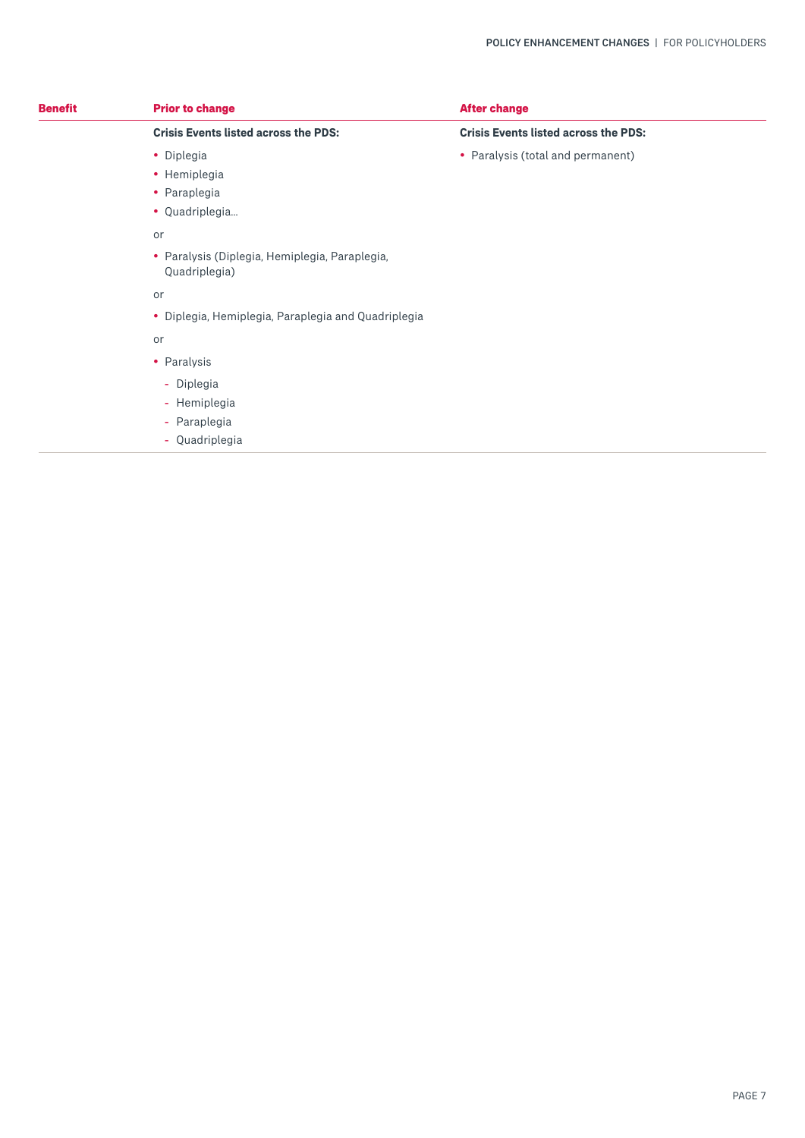| <b>Benefit</b> | <b>Prior to change</b>                                          | <b>After change</b>                         |
|----------------|-----------------------------------------------------------------|---------------------------------------------|
|                | <b>Crisis Events listed across the PDS:</b>                     | <b>Crisis Events listed across the PDS:</b> |
|                | • Diplegia                                                      | • Paralysis (total and permanent)           |
|                | • Hemiplegia                                                    |                                             |
|                | • Paraplegia                                                    |                                             |
|                | • Quadriplegia                                                  |                                             |
|                | or                                                              |                                             |
|                | · Paralysis (Diplegia, Hemiplegia, Paraplegia,<br>Quadriplegia) |                                             |
|                | or                                                              |                                             |
|                | · Diplegia, Hemiplegia, Paraplegia and Quadriplegia             |                                             |
|                | or                                                              |                                             |
|                | • Paralysis                                                     |                                             |
|                | - Diplegia                                                      |                                             |
|                | - Hemiplegia                                                    |                                             |
|                | - Paraplegia                                                    |                                             |
|                | - Quadriplegia                                                  |                                             |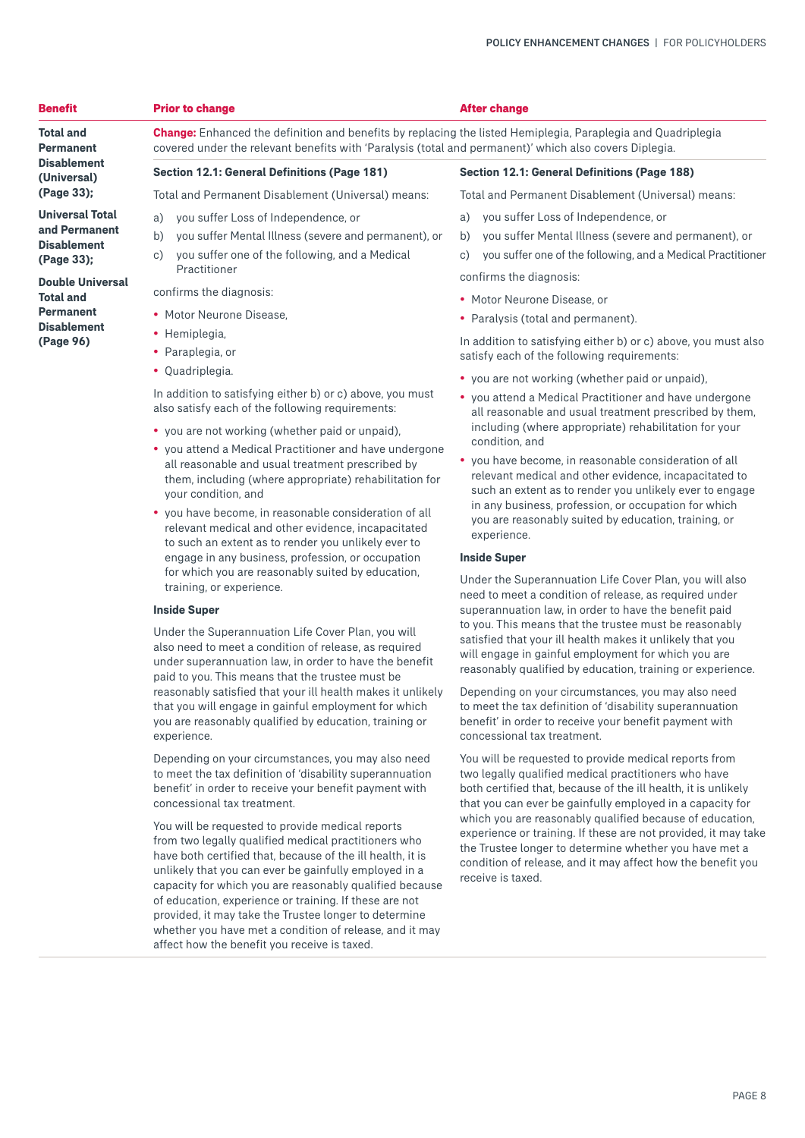| <b>Benefit</b>                                                                                                                                                                    | <b>Prior to change</b>                                                                                                                                                                                                                                                                                                                                                                                                                                             | <b>After change</b>                                                                                                                                                                                                                                                                                                                                                                                                                                                                                                                                                                                                                  |
|-----------------------------------------------------------------------------------------------------------------------------------------------------------------------------------|--------------------------------------------------------------------------------------------------------------------------------------------------------------------------------------------------------------------------------------------------------------------------------------------------------------------------------------------------------------------------------------------------------------------------------------------------------------------|--------------------------------------------------------------------------------------------------------------------------------------------------------------------------------------------------------------------------------------------------------------------------------------------------------------------------------------------------------------------------------------------------------------------------------------------------------------------------------------------------------------------------------------------------------------------------------------------------------------------------------------|
| <b>Total and</b><br><b>Permanent</b>                                                                                                                                              | <b>Change:</b> Enhanced the definition and benefits by replacing the listed Hemiplegia, Paraplegia and Quadriplegia<br>covered under the relevant benefits with 'Paralysis (total and permanent)' which also covers Diplegia.                                                                                                                                                                                                                                      |                                                                                                                                                                                                                                                                                                                                                                                                                                                                                                                                                                                                                                      |
| <b>Disablement</b><br>(Universal)                                                                                                                                                 | <b>Section 12.1: General Definitions (Page 181)</b>                                                                                                                                                                                                                                                                                                                                                                                                                | <b>Section 12.1: General Definitions (Page 188)</b>                                                                                                                                                                                                                                                                                                                                                                                                                                                                                                                                                                                  |
| (Page 33);                                                                                                                                                                        | Total and Permanent Disablement (Universal) means:                                                                                                                                                                                                                                                                                                                                                                                                                 | Total and Permanent Disablement (Universal) means:                                                                                                                                                                                                                                                                                                                                                                                                                                                                                                                                                                                   |
| <b>Universal Total</b><br>and Permanent<br><b>Disablement</b><br>(Page 33);<br><b>Double Universal</b><br><b>Total and</b><br><b>Permanent</b><br><b>Disablement</b><br>(Page 96) | you suffer Loss of Independence, or<br>a)<br>b)<br>you suffer Mental Illness (severe and permanent), or<br>you suffer one of the following, and a Medical<br>c)<br>Practitioner<br>confirms the diagnosis:<br>• Motor Neurone Disease.<br>• Hemiplegia,<br>• Paraplegia, or<br>• Quadriplegia.<br>In addition to satisfying either b) or c) above, you must<br>also satisfy each of the following requirements:<br>• you are not working (whether paid or unpaid), | you suffer Loss of Independence, or<br>a)<br>you suffer Mental Illness (severe and permanent), or<br>b)<br>you suffer one of the following, and a Medical Practitioner<br>$\circ$ )<br>confirms the diagnosis:<br>• Motor Neurone Disease, or<br>• Paralysis (total and permanent).<br>In addition to satisfying either b) or c) above, you must also<br>satisfy each of the following requirements:<br>• you are not working (whether paid or unpaid).<br>• you attend a Medical Practitioner and have undergone<br>all reasonable and usual treatment prescribed by them.<br>including (where appropriate) rehabilitation for your |
|                                                                                                                                                                                   | • you attend a Medical Practitioner and have undergone<br>all reasonable and usual treatment prescribed by<br>them, including (where appropriate) rehabilitation for<br>vour condition and                                                                                                                                                                                                                                                                         | condition, and<br>• you have become, in reasonable consideration of all<br>relevant medical and other evidence, incapacitated to<br>such an extent as to render you unlikely ever to engage                                                                                                                                                                                                                                                                                                                                                                                                                                          |

• you have become, in reasonable consideration of all relevant medical and other evidence, incapacitated to such an extent as to render you unlikely ever to engage in any business, profession, or occupation for which you are reasonably suited by education, training, or experience.

#### **Inside Super**

Under the Superannuation Life Cover Plan, you will also need to meet a condition of release, as required under superannuation law, in order to have the benefit paid to you. This means that the trustee must be reasonably satisfied that your ill health makes it unlikely that you will engage in gainful employment for which you are reasonably qualified by education, training or experience.

Depending on your circumstances, you may also need to meet the tax definition of 'disability superannuation benefit' in order to receive your benefit payment with concessional tax treatment.

You will be requested to provide medical reports from two legally qualified medical practitioners who have both certified that, because of the ill health, it is unlikely that you can ever be gainfully employed in a capacity for which you are reasonably qualified because of education, experience or training. If these are not provided, it may take the Trustee longer to determine whether you have met a condition of release, and it may affect how the benefit you receive is taxed.

- your condition, and
- 

need to meet a condition of release, as required under superannuation law, in order to have the benefit paid to you. This means that the trustee must be reasonably satisfied that your ill health makes it unlikely that you will engage in gainful employment for which you are reasonably qualified by education, training or experience.

experience. **Inside Super**

Depending on your circumstances, you may also need to meet the tax definition of 'disability superannuation benefit' in order to receive your benefit payment with concessional tax treatment.

in any business, profession, or occupation for which you are reasonably suited by education, training, or

Under the Superannuation Life Cover Plan, you will also

You will be requested to provide medical reports from two legally qualified medical practitioners who have both certified that, because of the ill health, it is unlikely that you can ever be gainfully employed in a capacity for which you are reasonably qualified because of education, experience or training. If these are not provided, it may take the Trustee longer to determine whether you have met a condition of release, and it may affect how the benefit you receive is taxed.